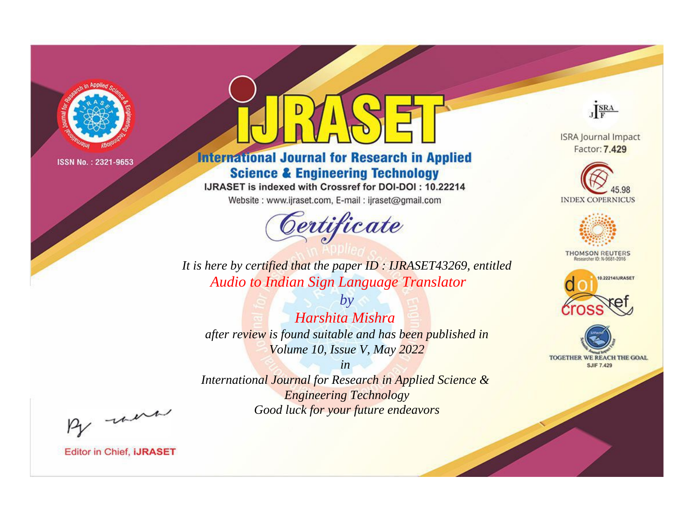

# **International Journal for Research in Applied Science & Engineering Technology**

IJRASET is indexed with Crossref for DOI-DOI: 10.22214

Website: www.ijraset.com, E-mail: ijraset@gmail.com



JERA **ISRA Journal Impact** 

Factor: 7.429





**THOMSON REUTERS** 



TOGETHER WE REACH THE GOAL **SJIF 7.429** 

*It is here by certified that the paper ID : IJRASET43269, entitled Audio to Indian Sign Language Translator*

*by Harshita Mishra after review is found suitable and has been published in Volume 10, Issue V, May 2022*

*in* 

*International Journal for Research in Applied Science & Engineering Technology Good luck for your future endeavors*

By morn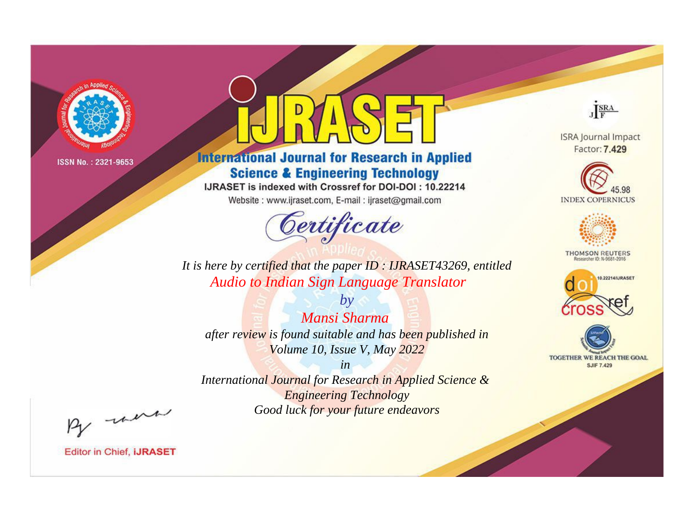

# **International Journal for Research in Applied Science & Engineering Technology**

IJRASET is indexed with Crossref for DOI-DOI: 10.22214

Website: www.ijraset.com, E-mail: ijraset@gmail.com



JERA

**ISRA Journal Impact** Factor: 7.429





**THOMSON REUTERS** 



TOGETHER WE REACH THE GOAL **SJIF 7.429** 

*It is here by certified that the paper ID : IJRASET43269, entitled Audio to Indian Sign Language Translator*

*by Mansi Sharma after review is found suitable and has been published in Volume 10, Issue V, May 2022*

*in* 

*International Journal for Research in Applied Science & Engineering Technology Good luck for your future endeavors*

By morn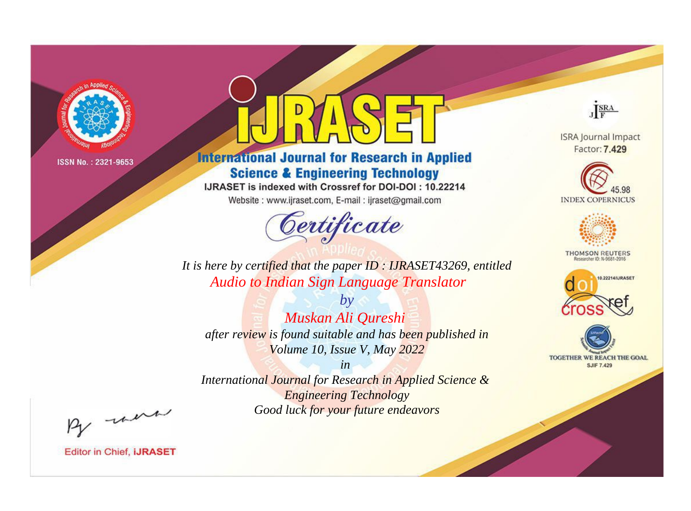

# **International Journal for Research in Applied Science & Engineering Technology**

IJRASET is indexed with Crossref for DOI-DOI: 10.22214

Website: www.ijraset.com, E-mail: ijraset@gmail.com



JERA

**ISRA Journal Impact** Factor: 7.429





**THOMSON REUTERS** 



TOGETHER WE REACH THE GOAL **SJIF 7.429** 

*It is here by certified that the paper ID : IJRASET43269, entitled Audio to Indian Sign Language Translator*

*by Muskan Ali Qureshi after review is found suitable and has been published in Volume 10, Issue V, May 2022*

*in International Journal for Research in Applied Science &* 

*Engineering Technology Good luck for your future endeavors*

By morn